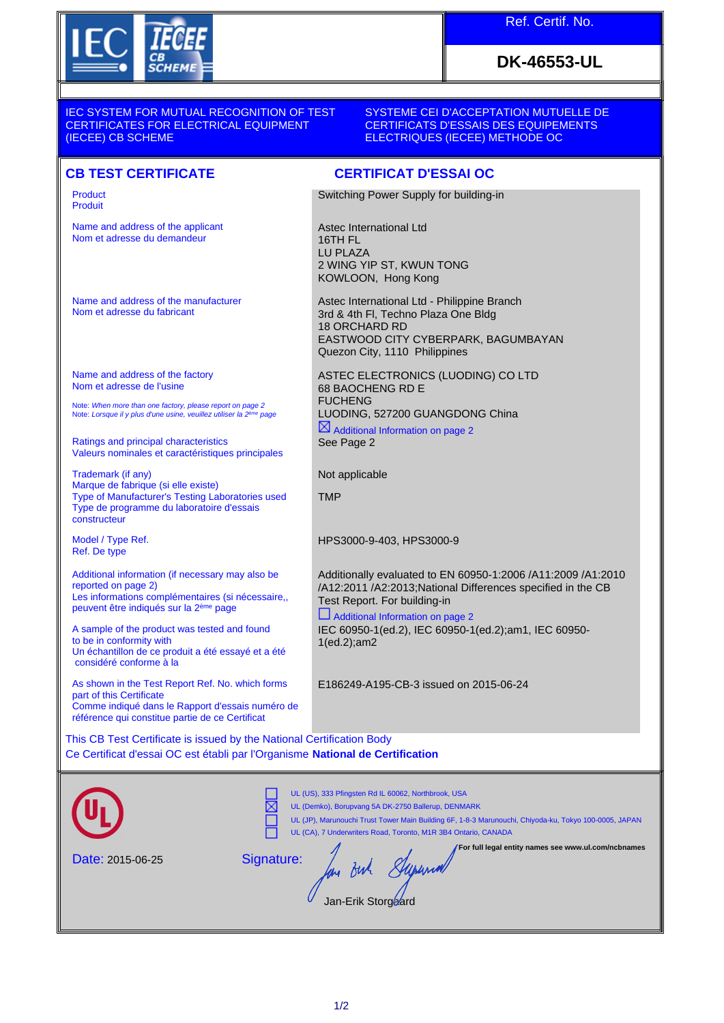

### Ref. Certif. No.

# **DK-46553-UL**

IEC SYSTEM FOR MUTUAL RECOGNITION OF TEST CERTIFICATES FOR ELECTRICAL EQUIPMENT (IECEE) CB SCHEME

#### SYSTEME CEI D'ACCEPTATION MUTUELLE DE CERTIFICATS D'ESSAIS DES EQUIPEMENTS ELECTRIQUES (IECEE) METHODE OC

### **CB TEST CERTIFICATE CERTIFICAT D'ESSAI OC**

Product Produit

Name and address of the applicant Nom et adresse du demandeur

Name and address of the manufacturer Nom et adresse du fabricant

Name and address of the factory Nom et adresse de l'usine

Note: *When more than one factory, please report on page 2*<br>Note: *Lorsque il y plus d'une usine, veuillez utiliser la 2<sup>ème</sup> page* 

Ratings and principal characteristics Valeurs nominales et caractéristiques principales

Trademark (if any) Marque de fabrique (si elle existe) Type of Manufacturer's Testing Laboratories used Type de programme du laboratoire d'essais constructeur

Model / Type Ref. Ref. De type

Additional information (if necessary may also be reported on page 2) Les informations complémentaires (si nécessaire, peuvent être indiqués sur la 2ème page

A sample of the product was tested and found to be in conformity with Un échantillon de ce produit a été essayé et a été considéré conforme à la

As shown in the Test Report Ref. No. which forms part of this Certificate Comme indiqué dans le Rapport d'essais numéro de référence qui constitue partie de ce Certificat

Switching Power Supply for building-in

Astec International Ltd 16TH FL LU PLAZA 2 WING YIP ST, KWUN TONG KOWLOON, Hong Kong

Astec International Ltd - Philippine Branch 3rd & 4th Fl, Techno Plaza One Bldg 18 ORCHARD RD EASTWOOD CITY CYBERPARK, BAGUMBAYAN Quezon City, 1110 Philippines

ASTEC ELECTRONICS (LUODING) CO LTD 68 BAOCHENG RD E FUCHENG LUODING, 527200 GUANGDONG China

 $\boxtimes$  Additional Information on page 2 See Page 2

Not applicable

**TMP** 

HPS3000-9-403, HPS3000-9

Additionally evaluated to EN 60950-1:2006 /A11:2009 /A1:2010 /A12:2011 /A2:2013;National Differences specified in the CB Test Report. For building-in

 Additional Information on page 2 IEC 60950-1(ed.2), IEC 60950-1(ed.2);am1, IEC 60950- 1(ed.2);am2

E186249-A195-CB-3 issued on 2015-06-24

This CB Test Certificate is issued by the National Certification Body Ce Certificat d'essai OC est établi par l'Organisme **National de Certification**

|                         | UL (US), 333 Pfingsten Rd IL 60062, Northbrook, USA<br>UL (Demko), Borupvang 5A DK-2750 Ballerup, DENMARK<br>UL (JP), Marunouchi Trust Tower Main Building 6F, 1-8-3 Marunouchi, Chiyoda-ku, Tokyo 100-0005, JAPAN<br>UL (CA), 7 Underwriters Road, Toronto, M1R 3B4 Ontario, CANADA |
|-------------------------|--------------------------------------------------------------------------------------------------------------------------------------------------------------------------------------------------------------------------------------------------------------------------------------|
| <b>Date: 2015-06-25</b> | For full legal entity names see www.ul.com/ncbnames<br>Signature:<br>Jan-Erik Storgeard                                                                                                                                                                                              |